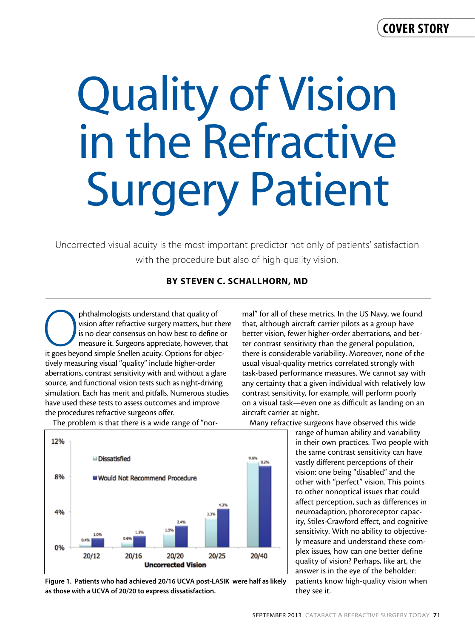## cover story

# Quality of Vision in the Refractive Surgery Patient

Uncorrected visual acuity is the most important predictor not only of patients' satisfaction with the procedure but also of high-quality vision.

### By Steven C. Schallhorn, MD

phthalmologists understand that quality of vision after refractive surgery matters, but the is no clear consensus on how best to define o measure it. Surgeons appreciate, however, that it goes beyond simple Snellen acuity. vision after refractive surgery matters, but there is no clear consensus on how best to define or measure it. Surgeons appreciate, however, that tively measuring visual "quality" include higher-order aberrations, contrast sensitivity with and without a glare source, and functional vision tests such as night-driving simulation. Each has merit and pitfalls. Numerous studies have used these tests to assess outcomes and improve the procedures refractive surgeons offer.



The problem is that there is a wide range of "nor-

Figure 1. Patients who had achieved 20/16 UCVA post-LASIK were half as likely as those with a UCVA of 20/20 to express dissatisfaction.

mal" for all of these metrics. In the US Navy, we found that, although aircraft carrier pilots as a group have better vision, fewer higher-order aberrations, and better contrast sensitivity than the general population, there is considerable variability. Moreover, none of the usual visual-quality metrics correlated strongly with task-based performance measures. We cannot say with any certainty that a given individual with relatively low contrast sensitivity, for example, will perform poorly on a visual task—even one as difficult as landing on an aircraft carrier at night.

Many refractive surgeons have observed this wide

range of human ability and variability in their own practices. Two people with the same contrast sensitivity can have vastly different perceptions of their vision: one being "disabled" and the other with "perfect" vision. This points to other nonoptical issues that could affect perception, such as differences in neuroadaption, photoreceptor capacity, Stiles-Crawford effect, and cognitive sensitivity. With no ability to objectively measure and understand these complex issues, how can one better define quality of vision? Perhaps, like art, the answer is in the eye of the beholder: patients know high-quality vision when they see it.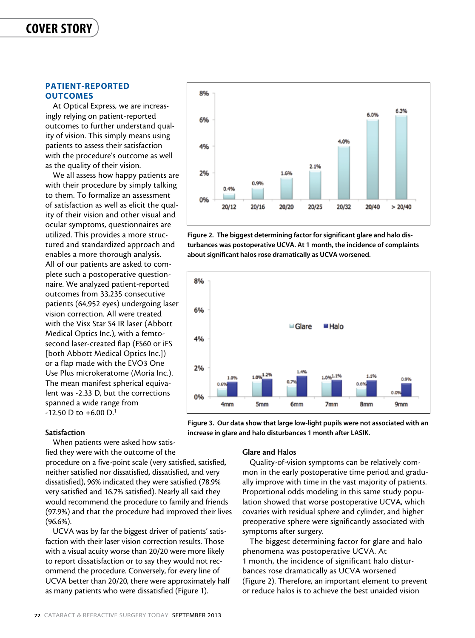#### PATIENT-REPORTED **OUTCOMES**

At Optical Express, we are increasingly relying on patient-reported outcomes to further understand quality of vision. This simply means using patients to assess their satisfaction with the procedure's outcome as well as the quality of their vision.

We all assess how happy patients are with their procedure by simply talking to them. To formalize an assessment of satisfaction as well as elicit the quality of their vision and other visual and ocular symptoms, questionnaires are utilized. This provides a more structured and standardized approach and enables a more thorough analysis. All of our patients are asked to complete such a postoperative questionnaire. We analyzed patient-reported outcomes from 33,235 consecutive patients (64,952 eyes) undergoing laser vision correction. All were treated with the Visx Star S4 IR laser (Abbott Medical Optics Inc.), with a femtosecond laser-created flap (FS60 or iFS [both Abbott Medical Optics Inc.]) or a flap made with the EVO3 One Use Plus microkeratome (Moria Inc.). The mean manifest spherical equivalent was -2.33 D, but the corrections spanned a wide range from  $-12.50$  D to  $+6.00$  D.<sup>1</sup>

Satisfaction

When patients were asked how satisfied they were with the outcome of the

procedure on a five-point scale (very satisfied, satisfied, neither satisfied nor dissatisfied, dissatisfied, and very dissatisfied), 96% indicated they were satisfied (78.9% very satisfied and 16.7% satisfied). Nearly all said they would recommend the procedure to family and friends (97.9%) and that the procedure had improved their lives (96.6%).

UCVA was by far the biggest driver of patients' satisfaction with their laser vision correction results. Those with a visual acuity worse than 20/20 were more likely to report dissatisfaction or to say they would not recommend the procedure. Conversely, for every line of UCVA better than 20/20, there were approximately half as many patients who were dissatisfied (Figure 1).



Figure 2. The biggest determining factor for significant glare and halo disturbances was postoperative UCVA. At 1 month, the incidence of complaints about significant halos rose dramatically as UCVA worsened.



Figure 3. Our data show that large low-light pupils were not associated with an increase in glare and halo disturbances 1 month after LASIK.

#### Glare and Halos

Quality-of-vision symptoms can be relatively common in the early postoperative time period and gradually improve with time in the vast majority of patients. Proportional odds modeling in this same study population showed that worse postoperative UCVA, which covaries with residual sphere and cylinder, and higher preoperative sphere were significantly associated with symptoms after surgery.

The biggest determining factor for glare and halo phenomena was postoperative UCVA. At 1 month, the incidence of significant halo disturbances rose dramatically as UCVA worsened (Figure 2). Therefore, an important element to prevent or reduce halos is to achieve the best unaided vision